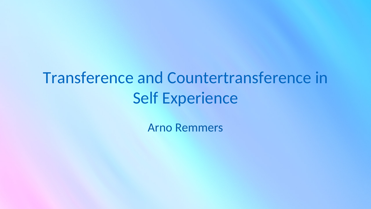# Transference and Countertransference in Self Experience

Arno Remmers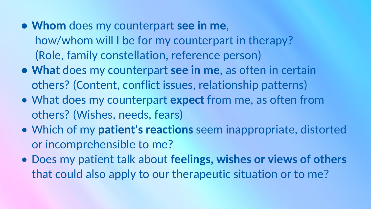- **• Whom** does my counterpart **see in me**, how/whom will I be for my counterpart in therapy? (Role, family constellation, reference person)
- **• What** does my counterpart **see in me**, as often in certain others? (Content, conflict issues, relationship patterns)
- What does my counterpart **expect** from me, as often from others? (Wishes, needs, fears)
- Which of my **patient's reactions** seem inappropriate, distorted or incomprehensible to me?
- Does my patient talk about **feelings, wishes or views of others** that could also apply to our therapeutic situation or to me?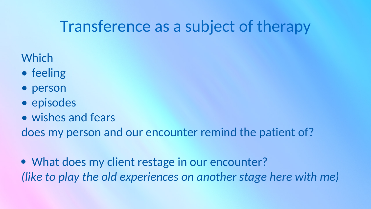## Transference as a subject of therapy

#### **Which**

- feeling
- person
- episodes
- wishes and fears

does my person and our encounter remind the patient of?

• What does my client restage in our encounter? *(like to play the old experiences on another stage here with me)*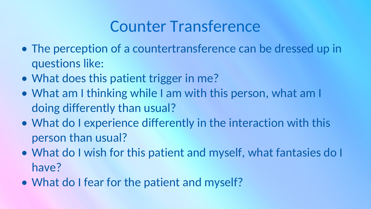## Counter Transference

- The perception of a countertransference can be dressed up in questions like:
- What does this patient trigger in me?
- What am I thinking while I am with this person, what am I doing differently than usual?
- What do I experience differently in the interaction with this person than usual?
- What do I wish for this patient and myself, what fantasies do I have?
- What do I fear for the patient and myself?